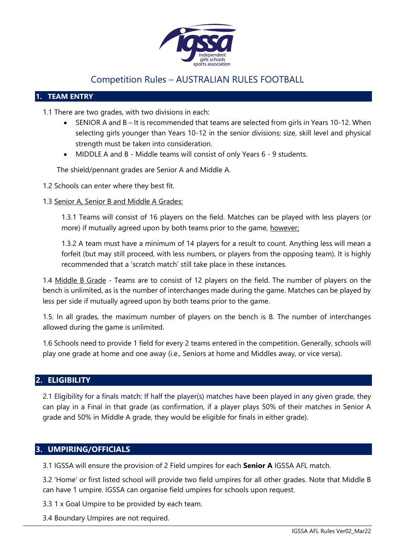

# Competition Rules – AUSTRALIAN RULES FOOTBALL

## **1. TEAM ENTRY**

1.1 There are two grades, with two divisions in each:

- SENIOR A and B It is recommended that teams are selected from girls in Years 10-12. When selecting girls younger than Years 10-12 in the senior divisions; size, skill level and physical strength must be taken into consideration.
- MIDDLE A and B Middle teams will consist of only Years 6 9 students.

The shield/pennant grades are Senior A and Middle A.

- 1.2 Schools can enter where they best fit.
- 1.3 Senior A, Senior B and Middle A Grades:

1.3.1 Teams will consist of 16 players on the field. Matches can be played with less players (or more) if mutually agreed upon by both teams prior to the game, however;

1.3.2 A team must have a minimum of 14 players for a result to count. Anything less will mean a forfeit (but may still proceed, with less numbers, or players from the opposing team). It is highly recommended that a 'scratch match' still take place in these instances.

1.4 Middle B Grade - Teams are to consist of 12 players on the field. The number of players on the bench is unlimited, as is the number of interchanges made during the game. Matches can be played by less per side if mutually agreed upon by both teams prior to the game.

1.5. In all grades, the maximum number of players on the bench is 8. The number of interchanges allowed during the game is unlimited.

1.6 Schools need to provide 1 field for every 2 teams entered in the competition. Generally, schools will play one grade at home and one away (i.e., Seniors at home and Middles away, or vice versa).

## **2. ELIGIBILITY**

2.1 Eligibility for a finals match: If half the player(s) matches have been played in any given grade, they can play in a Final in that grade (as confirmation, if a player plays 50% of their matches in Senior A grade and 50% in Middle A grade, they would be eligible for finals in either grade).

# **3. UMPIRING/OFFICIALS**

3.1 IGSSA will ensure the provision of 2 Field umpires for each **Senior A** IGSSA AFL match.

3.2 'Home' or first listed school will provide two field umpires for all other grades. Note that Middle B can have 1 umpire. IGSSA can organise field umpires for schools upon request.

3.3 1 x Goal Umpire to be provided by each team.

3.4 Boundary Umpires are not required.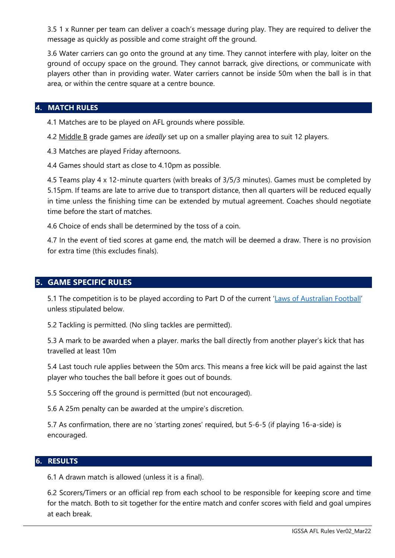3.5 1 x Runner per team can deliver a coach's message during play. They are required to deliver the message as quickly as possible and come straight off the ground.

3.6 Water carriers can go onto the ground at any time. They cannot interfere with play, loiter on the ground of occupy space on the ground. They cannot barrack, give directions, or communicate with players other than in providing water. Water carriers cannot be inside 50m when the ball is in that area, or within the centre square at a centre bounce.

#### **4. MATCH RULES**

4.1 Matches are to be played on AFL grounds where possible.

4.2 Middle B grade games are *ideally* set up on a smaller playing area to suit 12 players.

4.3 Matches are played Friday afternoons.

4.4 Games should start as close to 4.10pm as possible.

4.5 Teams play 4 x 12-minute quarters (with breaks of 3/5/3 minutes). Games must be completed by 5.15pm. If teams are late to arrive due to transport distance, then all quarters will be reduced equally in time unless the finishing time can be extended by mutual agreement. Coaches should negotiate time before the start of matches.

4.6 Choice of ends shall be determined by the toss of a coin.

4.7 In the event of tied scores at game end, the match will be deemed a draw. There is no provision for extra time (this excludes finals).

## **5. GAME SPECIFIC RULES**

5.1 The competition is to be played according to Part D of the current ['Laws of Australian Football'](https://resources.afl.com.au/afl/document/2019/12/04/d8d5f2cf-04eb-4530-b2d5-5cc799ff625c/2019-Laws-of-Australian-Football.pdf) unless stipulated below.

5.2 Tackling is permitted. (No sling tackles are permitted).

5.3 A mark to be awarded when a player. marks the ball directly from another player's kick that has travelled at least 10m

5.4 Last touch rule applies between the 50m arcs. This means a free kick will be paid against the last player who touches the ball before it goes out of bounds.

5.5 Soccering off the ground is permitted (but not encouraged).

5.6 A 25m penalty can be awarded at the umpire's discretion.

5.7 As confirmation, there are no 'starting zones' required, but 5-6-5 (if playing 16-a-side) is encouraged.

#### **6. RESULTS**

6.1 A drawn match is allowed (unless it is a final).

6.2 Scorers/Timers or an official rep from each school to be responsible for keeping score and time for the match. Both to sit together for the entire match and confer scores with field and goal umpires at each break.